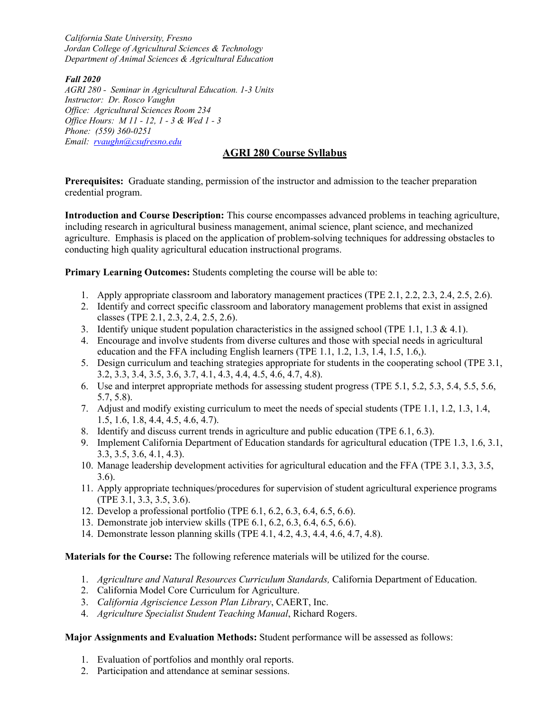*California State University, Fresno Jordan College of Agricultural Sciences & Technology Department of Animal Sciences & Agricultural Education*

*Fall 2020*

*AGRI 280 - Seminar in Agricultural Education. 1-3 Units Instructor: Dr. Rosco Vaughn Office: Agricultural Sciences Room 234 Office Hours: M 11 - 12, 1 - 3 & Wed 1 - 3 Phone: (559) 360-0251 Email: rvaughn@csufresno.edu*

# **AGRI 280 Course Syllabus**

**Prerequisites:** Graduate standing, permission of the instructor and admission to the teacher preparation credential program.

**Introduction and Course Description:** This course encompasses advanced problems in teaching agriculture, including research in agricultural business management, animal science, plant science, and mechanized agriculture. Emphasis is placed on the application of problem-solving techniques for addressing obstacles to conducting high quality agricultural education instructional programs.

**Primary Learning Outcomes:** Students completing the course will be able to:

- 1. Apply appropriate classroom and laboratory management practices (TPE 2.1, 2.2, 2.3, 2.4, 2.5, 2.6).
- 2. Identify and correct specific classroom and laboratory management problems that exist in assigned classes (TPE 2.1, 2.3, 2.4, 2.5, 2.6).
- 3. Identify unique student population characteristics in the assigned school (TPE 1.1, 1.3  $\&$  4.1).
- 4. Encourage and involve students from diverse cultures and those with special needs in agricultural education and the FFA including English learners (TPE 1.1, 1.2, 1.3, 1.4, 1.5, 1.6,).
- 5. Design curriculum and teaching strategies appropriate for students in the cooperating school (TPE 3.1, 3.2, 3.3, 3.4, 3.5, 3.6, 3.7, 4.1, 4.3, 4.4, 4.5, 4.6, 4.7, 4.8).
- 6. Use and interpret appropriate methods for assessing student progress (TPE 5.1, 5.2, 5.3, 5.4, 5.5, 5.6, 5.7, 5.8).
- 7. Adjust and modify existing curriculum to meet the needs of special students (TPE 1.1, 1.2, 1.3, 1.4, 1.5, 1.6, 1.8, 4.4, 4.5, 4.6, 4.7).
- 8. Identify and discuss current trends in agriculture and public education (TPE 6.1, 6.3).
- 9. Implement California Department of Education standards for agricultural education (TPE 1.3, 1.6, 3.1, 3.3, 3.5, 3.6, 4.1, 4.3).
- 10. Manage leadership development activities for agricultural education and the FFA (TPE 3.1, 3.3, 3.5, 3.6).
- 11. Apply appropriate techniques/procedures for supervision of student agricultural experience programs (TPE 3.1, 3.3, 3.5, 3.6).
- 12. Develop a professional portfolio (TPE 6.1, 6.2, 6.3, 6.4, 6.5, 6.6).
- 13. Demonstrate job interview skills (TPE 6.1, 6.2, 6.3, 6.4, 6.5, 6.6).
- 14. Demonstrate lesson planning skills (TPE 4.1, 4.2, 4.3, 4.4, 4.6, 4.7, 4.8).

**Materials for the Course:** The following reference materials will be utilized for the course.

- 1. *Agriculture and Natural Resources Curriculum Standards,* California Department of Education.
- 2. California Model Core Curriculum for Agriculture.
- 3. *California Agriscience Lesson Plan Library*, CAERT, Inc.
- 4. *Agriculture Specialist Student Teaching Manual*, Richard Rogers.

## **Major Assignments and Evaluation Methods:** Student performance will be assessed as follows:

- 1. Evaluation of portfolios and monthly oral reports.
- 2. Participation and attendance at seminar sessions.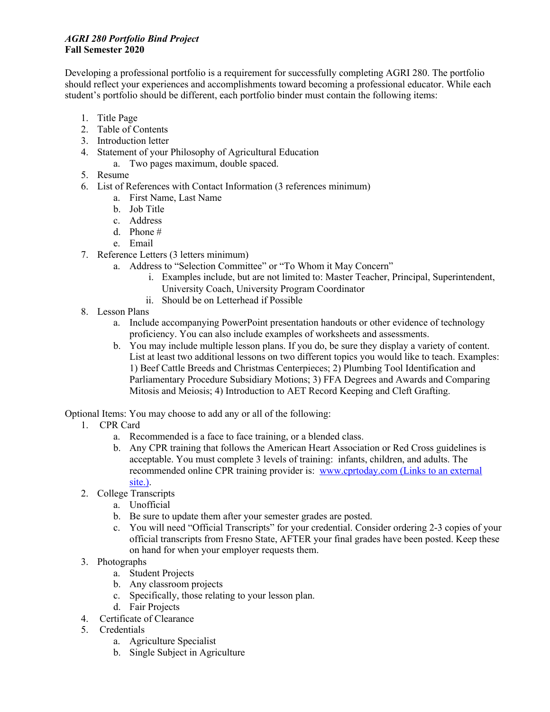### *AGRI 280 Portfolio Bind Project* **Fall Semester 2020**

Developing a professional portfolio is a requirement for successfully completing AGRI 280. The portfolio should reflect your experiences and accomplishments toward becoming a professional educator. While each student's portfolio should be different, each portfolio binder must contain the following items:

- 1. Title Page
- 2. Table of Contents
- 3. Introduction letter
- 4. Statement of your Philosophy of Agricultural Education
	- a. Two pages maximum, double spaced.
- 5. Resume
- 6. List of References with Contact Information (3 references minimum)
	- a. First Name, Last Name
	- b. Job Title
	- c. Address
	- d. Phone #
	- e. Email
- 7. Reference Letters (3 letters minimum)
	- a. Address to "Selection Committee" or "To Whom it May Concern"
		- i. Examples include, but are not limited to: Master Teacher, Principal, Superintendent, University Coach, University Program Coordinator
		- ii. Should be on Letterhead if Possible
- 8. Lesson Plans
	- a. Include accompanying PowerPoint presentation handouts or other evidence of technology proficiency. You can also include examples of worksheets and assessments.
	- b. You may include multiple lesson plans. If you do, be sure they display a variety of content. List at least two additional lessons on two different topics you would like to teach. Examples: 1) Beef Cattle Breeds and Christmas Centerpieces; 2) Plumbing Tool Identification and Parliamentary Procedure Subsidiary Motions; 3) FFA Degrees and Awards and Comparing Mitosis and Meiosis; 4) Introduction to AET Record Keeping and Cleft Grafting.

Optional Items: You may choose to add any or all of the following:

- 1. CPR Card
	- a. Recommended is a face to face training, or a blended class.
	- b. Any CPR training that follows the American Heart Association or Red Cross guidelines is acceptable. You must complete 3 levels of training: infants, children, and adults. The recommended online CPR training provider is: www.cprtoday.com (Links to an external site.).
- 2. College Transcripts
	- a. Unofficial
	- b. Be sure to update them after your semester grades are posted.
	- c. You will need "Official Transcripts" for your credential. Consider ordering 2-3 copies of your official transcripts from Fresno State, AFTER your final grades have been posted. Keep these on hand for when your employer requests them.
- 3. Photographs
	- a. Student Projects
	- b. Any classroom projects
	- c. Specifically, those relating to your lesson plan.
	- d. Fair Projects
- 4. Certificate of Clearance
- 5. Credentials
	- a. Agriculture Specialist
	- b. Single Subject in Agriculture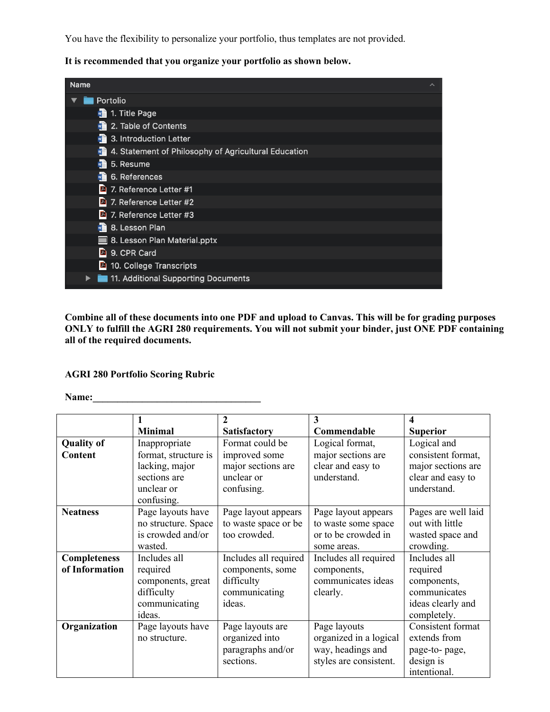You have the flexibility to personalize your portfolio, thus templates are not provided.

**It is recommended that you organize your portfolio as shown below.**

| <b>Name</b>                                                            | ↗ |
|------------------------------------------------------------------------|---|
| Portolio                                                               |   |
| 1. Title Page                                                          |   |
| 2. Table of Contents                                                   |   |
| $\sqrt{2}$ 3. Introduction Letter                                      |   |
| $w \triangleq$<br>4. Statement of Philosophy of Agricultural Education |   |
| 5. Resume<br>$w \triangleq$                                            |   |
| $\sqrt{2}$ 6. References                                               |   |
| <sup>2</sup> 7. Reference Letter #1                                    |   |
| 7. Reference Letter #2                                                 |   |
| <sup>2</sup> 7. Reference Letter #3                                    |   |
| $\sqrt{2}$ 8. Lesson Plan                                              |   |
| 8. Lesson Plan Material.pptx                                           |   |
| <b>A</b> 9. CPR Card                                                   |   |
| <sup>2</sup> 10. College Transcripts                                   |   |
| 11. Additional Supporting Documents                                    |   |

**Combine all of these documents into one PDF and upload to Canvas. This will be for grading purposes ONLY to fulfill the AGRI 280 requirements. You will not submit your binder, just ONE PDF containing all of the required documents.**

#### **AGRI 280 Portfolio Scoring Rubric**

**Name:\_\_\_\_\_\_\_\_\_\_\_\_\_\_\_\_\_\_\_\_\_\_\_\_\_\_\_\_\_\_\_\_\_\_**

|                     |                      | 2                     | 3                      | 4                   |
|---------------------|----------------------|-----------------------|------------------------|---------------------|
|                     | <b>Minimal</b>       | <b>Satisfactory</b>   | Commendable            | <b>Superior</b>     |
| <b>Quality of</b>   | Inappropriate        | Format could be       | Logical format,        | Logical and         |
| <b>Content</b>      | format, structure is | improved some         | major sections are     | consistent format,  |
|                     | lacking, major       | major sections are    | clear and easy to      | major sections are  |
|                     | sections are         | unclear or            | understand.            | clear and easy to   |
|                     | unclear or           | confusing.            |                        | understand.         |
|                     | confusing.           |                       |                        |                     |
| <b>Neatness</b>     | Page layouts have    | Page layout appears   | Page layout appears    | Pages are well laid |
|                     | no structure. Space  | to waste space or be  | to waste some space    | out with little     |
|                     | is crowded and/or    | too crowded.          | or to be crowded in    | wasted space and    |
|                     | wasted.              |                       | some areas.            | crowding.           |
| <b>Completeness</b> | Includes all         | Includes all required | Includes all required  | Includes all        |
| of Information      | required             | components, some      | components,            | required            |
|                     | components, great    | difficulty            | communicates ideas     | components,         |
|                     | difficulty           | communicating         | clearly.               | communicates        |
|                     | communicating        | ideas.                |                        | ideas clearly and   |
|                     | ideas.               |                       |                        | completely.         |
| Organization        | Page layouts have    | Page layouts are      | Page layouts           | Consistent format   |
|                     | no structure.        | organized into        | organized in a logical | extends from        |
|                     |                      | paragraphs and/or     | way, headings and      | page-to-page,       |
|                     |                      | sections.             | styles are consistent. | design is           |
|                     |                      |                       |                        | intentional.        |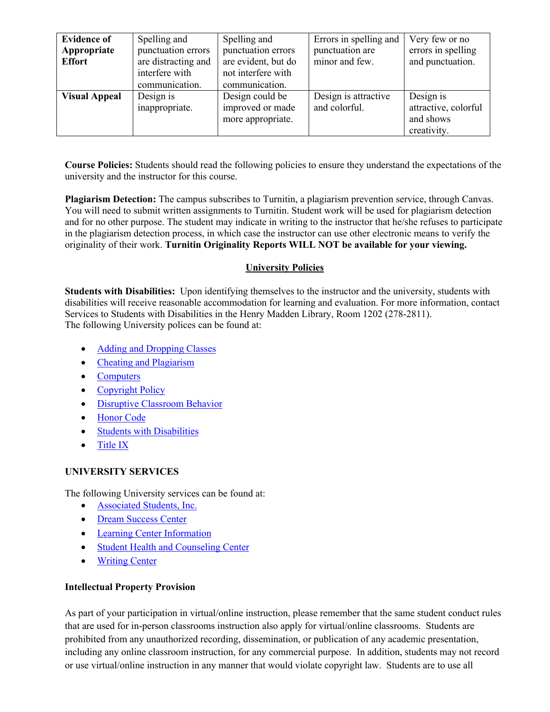| <b>Evidence of</b><br>Appropriate<br><b>Effort</b> | Spelling and<br>punctuation errors<br>are distracting and<br>interfere with<br>communication. | Spelling and<br>punctuation errors<br>are evident, but do<br>not interfere with<br>communication. | Errors in spelling and<br>punctuation are<br>minor and few. | Very few or no<br>errors in spelling<br>and punctuation.      |
|----------------------------------------------------|-----------------------------------------------------------------------------------------------|---------------------------------------------------------------------------------------------------|-------------------------------------------------------------|---------------------------------------------------------------|
| <b>Visual Appeal</b>                               | Design is<br>inappropriate.                                                                   | Design could be<br>improved or made<br>more appropriate.                                          | Design is attractive<br>and colorful.                       | Design is<br>attractive, colorful<br>and shows<br>creativity. |

**Course Policies:** Students should read the following policies to ensure they understand the expectations of the university and the instructor for this course.

**Plagiarism Detection:** The campus subscribes to Turnitin, a plagiarism prevention service, through Canvas. You will need to submit written assignments to Turnitin. Student work will be used for plagiarism detection and for no other purpose. The student may indicate in writing to the instructor that he/she refuses to participate in the plagiarism detection process, in which case the instructor can use other electronic means to verify the originality of their work. **Turnitin Originality Reports WILL NOT be available for your viewing.**

## **University Policies**

**Students with Disabilities:** Upon identifying themselves to the instructor and the university, students with disabilities will receive reasonable accommodation for learning and evaluation. For more information, contact Services to Students with Disabilities in the Henry Madden Library, Room 1202 (278-2811). The following University polices can be found at:

- Adding and Dropping Classes
- Cheating and Plagiarism
- Computers
- Copyright Policy
- Disruptive Classroom Behavior
- Honor Code
- Students with Disabilities
- Title IX

## **UNIVERSITY SERVICES**

The following University services can be found at:

- Associated Students, Inc.
- Dream Success Center
- Learning Center Information
- Student Health and Counseling Center
- Writing Center

## **Intellectual Property Provision**

As part of your participation in virtual/online instruction, please remember that the same student conduct rules that are used for in-person classrooms instruction also apply for virtual/online classrooms. Students are prohibited from any unauthorized recording, dissemination, or publication of any academic presentation, including any online classroom instruction, for any commercial purpose. In addition, students may not record or use virtual/online instruction in any manner that would violate copyright law. Students are to use all